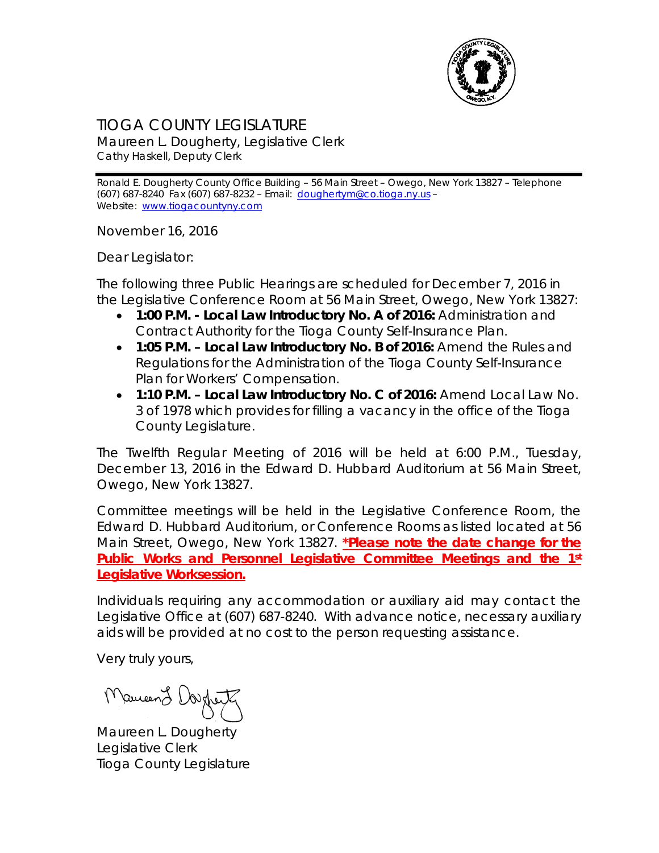

## TIOGA COUNTY LEGISLATURE

Maureen L. Dougherty, Legislative Clerk Cathy Haskell, Deputy Clerk

Ronald E. Dougherty County Office Building – 56 Main Street – Owego, New York 13827 – Telephone (607) 687-8240 Fax (607) 687-8232 – Email: [doughertym@co.tioga.ny.us](mailto:doughertym@co.tioga.ny.us) – Website: [www.tiogacountyny.com](http://www.tiogacountyny.com/)

November 16, 2016

Dear Legislator:

The following three Public Hearings are scheduled for December 7, 2016 in the Legislative Conference Room at 56 Main Street, Owego, New York 13827:

- **1:00 P.M. - Local Law Introductory No. A of 2016:** Administration and Contract Authority for the Tioga County Self-Insurance Plan.
- **1:05 P.M. – Local Law Introductory No. B of 2016:** Amend the Rules and Regulations for the Administration of the Tioga County Self-Insurance Plan for Workers' Compensation.
- **1:10 P.M. – Local Law Introductory No. C of 2016:** Amend Local Law No. 3 of 1978 which provides for filling a vacancy in the office of the Tioga County Legislature.

The Twelfth Regular Meeting of 2016 will be held at 6:00 P.M., Tuesday, December 13, 2016 in the Edward D. Hubbard Auditorium at 56 Main Street, Owego, New York 13827.

Committee meetings will be held in the Legislative Conference Room, the Edward D. Hubbard Auditorium, or Conference Rooms as listed located at 56 Main Street, Owego, New York 13827. **\*Please note the date change for the Public Works and Personnel Legislative Committee Meetings and the 1st Legislative Worksession.**

Individuals requiring any accommodation or auxiliary aid may contact the Legislative Office at (607) 687-8240. With advance notice, necessary auxiliary aids will be provided at no cost to the person requesting assistance.

Very truly yours,

Mameen L Dougher

Maureen L. Dougherty Legislative Clerk Tioga County Legislature